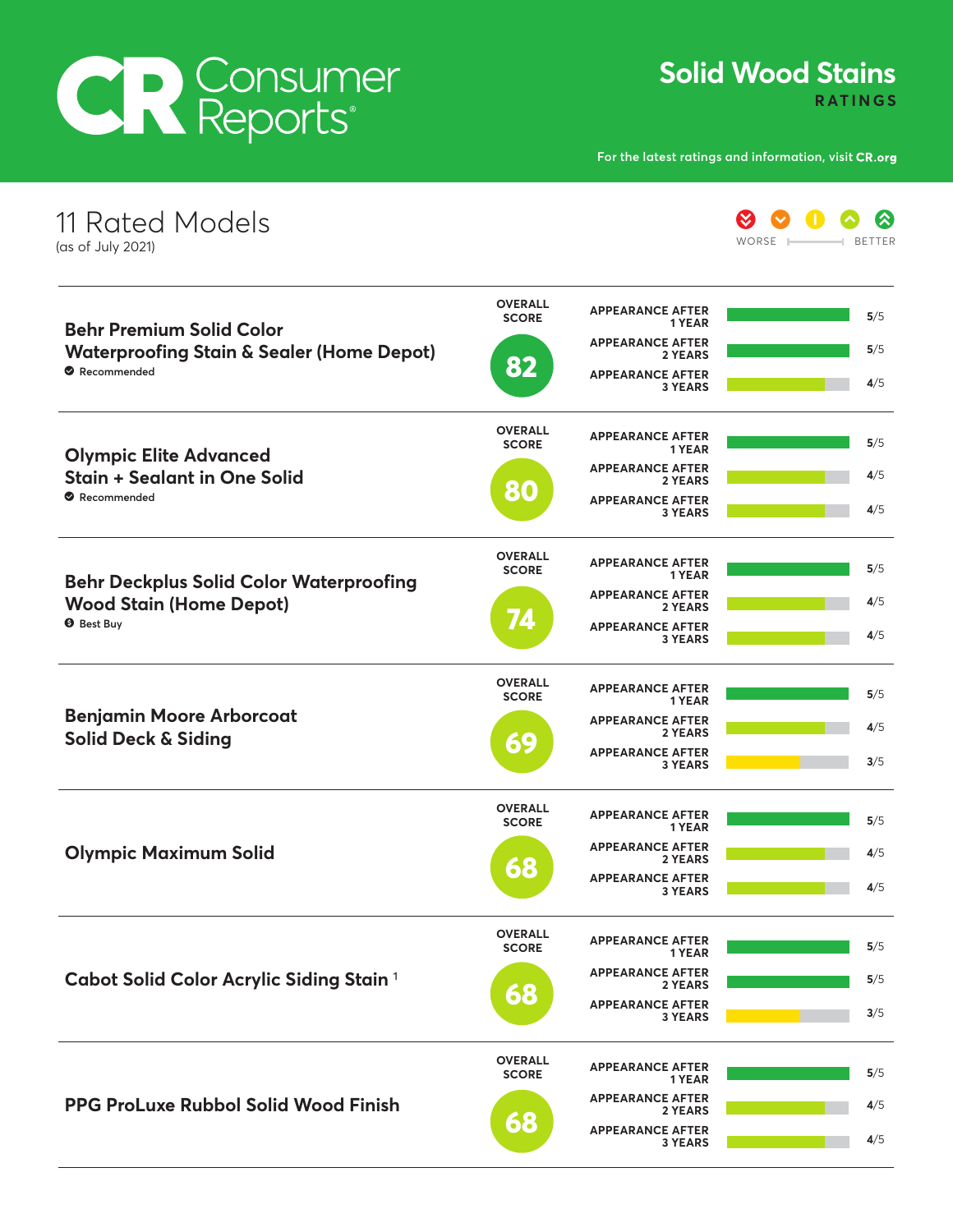## CR Consumer

**Solid Wood Stains RATINGS** 

**For the latest ratings and information, visit** 

| 11 Rated Models<br>(as of July 2021)                                                                   |                                |                                           | 《<br>WORSE<br><b>BETTER</b> |
|--------------------------------------------------------------------------------------------------------|--------------------------------|-------------------------------------------|-----------------------------|
| <b>Behr Premium Solid Color</b><br><b>Waterproofing Stain &amp; Sealer (Home Depot)</b><br>Recommended | <b>OVERALL</b><br><b>SCORE</b> | <b>APPEARANCE AFTER</b><br>1 YEAR         | 5/5                         |
|                                                                                                        |                                | <b>APPEARANCE AFTER</b><br>2 YEARS        | 5/5                         |
|                                                                                                        | 82                             | <b>APPEARANCE AFTER</b><br><b>3 YEARS</b> | 4/5                         |
| <b>Olympic Elite Advanced</b><br><b>Stain + Sealant in One Solid</b><br>Recommended                    | <b>OVERALL</b><br><b>SCORE</b> | <b>APPEARANCE AFTER</b><br>1 YEAR         | 5/5                         |
|                                                                                                        |                                | <b>APPEARANCE AFTER</b><br>2 YEARS        | 4/5                         |
|                                                                                                        | 80                             | <b>APPEARANCE AFTER</b><br><b>3 YEARS</b> | 4/5                         |
| <b>Behr Deckplus Solid Color Waterproofing</b><br><b>Wood Stain (Home Depot)</b><br><b>O</b> Best Buy  | <b>OVERALL</b><br><b>SCORE</b> | <b>APPEARANCE AFTER</b><br>1 YEAR         | 5/5                         |
|                                                                                                        |                                | <b>APPEARANCE AFTER</b><br>2 YEARS        | 4/5                         |
|                                                                                                        | 74                             | <b>APPEARANCE AFTER</b><br><b>3 YEARS</b> | 4/5                         |
| <b>Benjamin Moore Arborcoat</b><br>Solid Deck & Siding                                                 | <b>OVERALL</b><br><b>SCORE</b> | <b>APPEARANCE AFTER</b><br>1 YEAR         | 5/5                         |
|                                                                                                        |                                | <b>APPEARANCE AFTER</b><br>2 YEARS        | 4/5                         |
|                                                                                                        | 69                             | <b>APPEARANCE AFTER</b><br><b>3 YEARS</b> | 3/5                         |
| <b>Olympic Maximum Solid</b>                                                                           | <b>OVERALL</b><br><b>SCORE</b> | <b>APPEARANCE AFTER</b><br>1 YEAR         | 5/5                         |
|                                                                                                        |                                | <b>APPEARANCE AFTER</b><br>2 YEARS        | 4/5                         |
|                                                                                                        | 68                             | <b>APPEARANCE AFTER</b><br><b>3 YEARS</b> | 4/5                         |
| Cabot Solid Color Acrylic Siding Stain <sup>1</sup>                                                    | <b>OVERALL</b><br><b>SCORE</b> | <b>APPEARANCE AFTER</b><br>1 YEAR         | 5/5                         |
|                                                                                                        |                                | <b>APPEARANCE AFTER</b><br>2 YEARS        | 5/5                         |
|                                                                                                        | 68                             | <b>APPEARANCE AFTER</b><br><b>3 YEARS</b> | 3/5                         |
| <b>PPG ProLuxe Rubbol Solid Wood Finish</b>                                                            | <b>OVERALL</b><br><b>SCORE</b> | <b>APPEARANCE AFTER</b><br>1 YEAR         | 5/5                         |
|                                                                                                        |                                | <b>APPEARANCE AFTER</b><br>2 YEARS        | 4/5                         |
|                                                                                                        | 68                             | <b>APPEARANCE AFTER</b><br><b>3 YEARS</b> | 4/5                         |